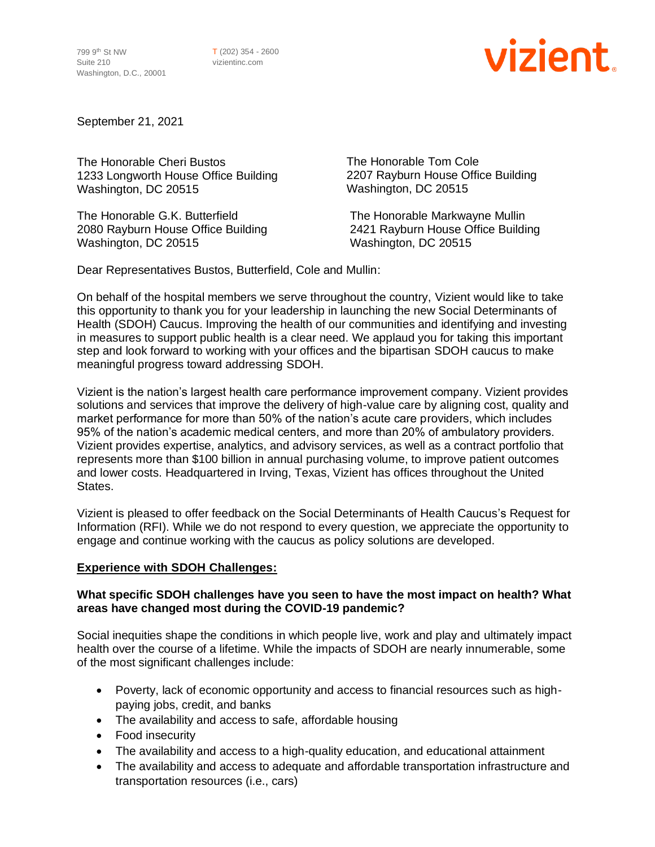799 9th St NW Suite 210 Washington, D.C., 20001 T (202) 354 - 2600 vizientinc.com

# vizient

September 21, 2021

The Honorable Cheri Bustos 1233 Longworth House Office Building Washington, DC 20515

The Honorable G.K. Butterfield The Honorable Markwayne Mullin Washington, DC 20515 Washington, DC 20515

The Honorable Tom Cole 2207 Rayburn House Office Building Washington, DC 20515

2080 Rayburn House Office Building 2421 Rayburn House Office Building

Dear Representatives Bustos, Butterfield, Cole and Mullin:

On behalf of the hospital members we serve throughout the country, Vizient would like to take this opportunity to thank you for your leadership in launching the new Social Determinants of Health (SDOH) Caucus. Improving the health of our communities and identifying and investing in measures to support public health is a clear need. We applaud you for taking this important step and look forward to working with your offices and the bipartisan SDOH caucus to make meaningful progress toward addressing SDOH.

Vizient is the nation's largest health care performance improvement company. Vizient provides solutions and services that improve the delivery of high-value care by aligning cost, quality and market performance for more than 50% of the nation's acute care providers, which includes 95% of the nation's academic medical centers, and more than 20% of ambulatory providers. Vizient provides expertise, analytics, and advisory services, as well as a contract portfolio that represents more than \$100 billion in annual purchasing volume, to improve patient outcomes and lower costs. Headquartered in Irving, Texas, Vizient has offices throughout the United States.

Vizient is pleased to offer feedback on the Social Determinants of Health Caucus's Request for Information (RFI). While we do not respond to every question, we appreciate the opportunity to engage and continue working with the caucus as policy solutions are developed.

#### **Experience with SDOH Challenges:**

#### **What specific SDOH challenges have you seen to have the most impact on health? What areas have changed most during the COVID-19 pandemic?**

Social inequities shape the conditions in which people live, work and play and ultimately impact health over the course of a lifetime. While the impacts of SDOH are nearly innumerable, some of the most significant challenges include:

- Poverty, lack of economic opportunity and access to financial resources such as highpaying jobs, credit, and banks
- The availability and access to safe, affordable housing
- Food insecurity
- The availability and access to a high-quality education, and educational attainment
- The availability and access to adequate and affordable transportation infrastructure and transportation resources (i.e., cars)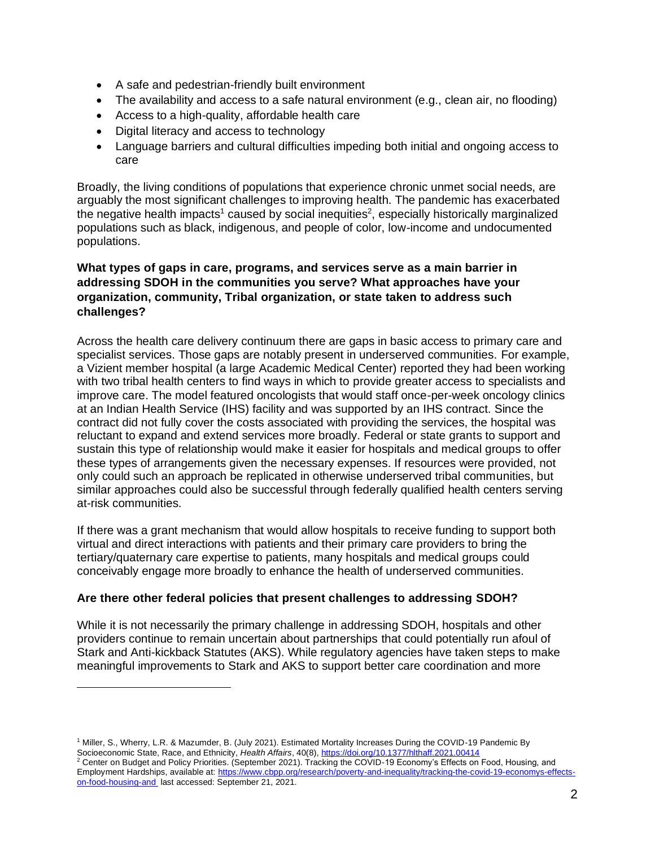- A safe and pedestrian-friendly built environment
- The availability and access to a safe natural environment (e.g., clean air, no flooding)
- Access to a high-quality, affordable health care
- Digital literacy and access to technology
- Language barriers and cultural difficulties impeding both initial and ongoing access to care

Broadly, the living conditions of populations that experience chronic unmet social needs, are arguably the most significant challenges to improving health. The pandemic has exacerbated the negative health impacts<sup>1</sup> caused by social inequities<sup>2</sup>, especially historically marginalized populations such as black, indigenous, and people of color, low-income and undocumented populations.

## **What types of gaps in care, programs, and services serve as a main barrier in addressing SDOH in the communities you serve? What approaches have your organization, community, Tribal organization, or state taken to address such challenges?**

Across the health care delivery continuum there are gaps in basic access to primary care and specialist services. Those gaps are notably present in underserved communities. For example, a Vizient member hospital (a large Academic Medical Center) reported they had been working with two tribal health centers to find ways in which to provide greater access to specialists and improve care. The model featured oncologists that would staff once-per-week oncology clinics at an Indian Health Service (IHS) facility and was supported by an IHS contract. Since the contract did not fully cover the costs associated with providing the services, the hospital was reluctant to expand and extend services more broadly. Federal or state grants to support and sustain this type of relationship would make it easier for hospitals and medical groups to offer these types of arrangements given the necessary expenses. If resources were provided, not only could such an approach be replicated in otherwise underserved tribal communities, but similar approaches could also be successful through federally qualified health centers serving at-risk communities.

If there was a grant mechanism that would allow hospitals to receive funding to support both virtual and direct interactions with patients and their primary care providers to bring the tertiary/quaternary care expertise to patients, many hospitals and medical groups could conceivably engage more broadly to enhance the health of underserved communities.

## **Are there other federal policies that present challenges to addressing SDOH?**

While it is not necessarily the primary challenge in addressing SDOH, hospitals and other providers continue to remain uncertain about partnerships that could potentially run afoul of Stark and Anti-kickback Statutes (AKS). While regulatory agencies have taken steps to make meaningful improvements to Stark and AKS to support better care coordination and more

<sup>1</sup> Miller, S., Wherry, L.R. & Mazumder, B. (July 2021). Estimated Mortality Increases During the COVID-19 Pandemic By Socioeconomic State, Race, and Ethnicity, *Health Affairs*, 40(8)[, https://doi.org/10.1377/hlthaff.2021.00414](https://doi.org/10.1377/hlthaff.2021.00414)

 $^2$  Center on Budget and Policy Priorities. (September 2021). Tracking the COVID-19 Economy's Effects on Food, Housing, and Employment Hardships, available at: [https://www.cbpp.org/research/poverty-and-inequality/tracking-the-covid-19-economys-effects](https://www.cbpp.org/research/poverty-and-inequality/tracking-the-covid-19-economys-effects-on-food-housing-and)[on-food-housing-and](https://www.cbpp.org/research/poverty-and-inequality/tracking-the-covid-19-economys-effects-on-food-housing-and) last accessed: September 21, 2021.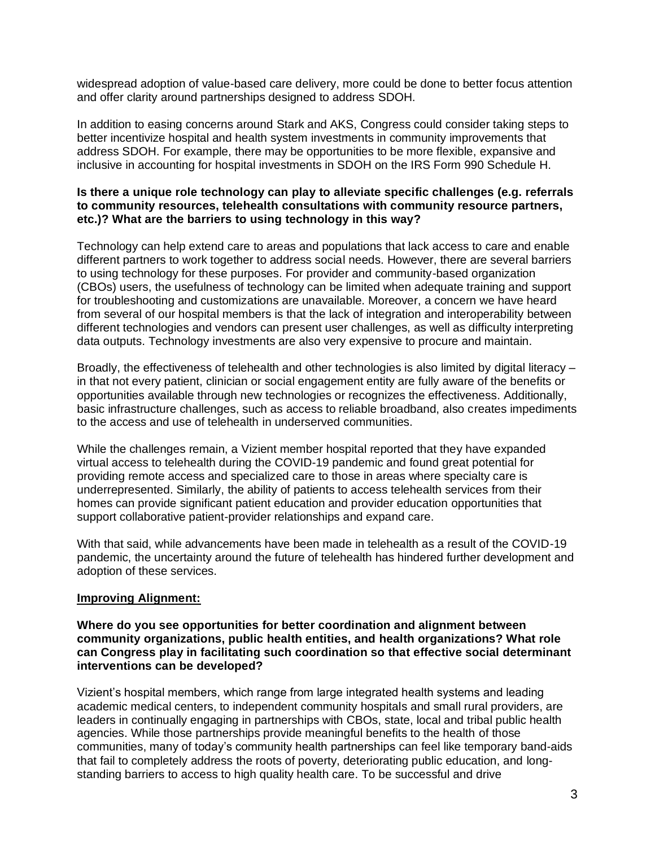widespread adoption of value-based care delivery, more could be done to better focus attention and offer clarity around partnerships designed to address SDOH.

In addition to easing concerns around Stark and AKS, Congress could consider taking steps to better incentivize hospital and health system investments in community improvements that address SDOH. For example, there may be opportunities to be more flexible, expansive and inclusive in accounting for hospital investments in SDOH on the IRS Form 990 Schedule H.

#### **Is there a unique role technology can play to alleviate specific challenges (e.g. referrals to community resources, telehealth consultations with community resource partners, etc.)? What are the barriers to using technology in this way?**

Technology can help extend care to areas and populations that lack access to care and enable different partners to work together to address social needs. However, there are several barriers to using technology for these purposes. For provider and community-based organization (CBOs) users, the usefulness of technology can be limited when adequate training and support for troubleshooting and customizations are unavailable. Moreover, a concern we have heard from several of our hospital members is that the lack of integration and interoperability between different technologies and vendors can present user challenges, as well as difficulty interpreting data outputs. Technology investments are also very expensive to procure and maintain.

Broadly, the effectiveness of telehealth and other technologies is also limited by digital literacy – in that not every patient, clinician or social engagement entity are fully aware of the benefits or opportunities available through new technologies or recognizes the effectiveness. Additionally, basic infrastructure challenges, such as access to reliable broadband, also creates impediments to the access and use of telehealth in underserved communities.

While the challenges remain, a Vizient member hospital reported that they have expanded virtual access to telehealth during the COVID-19 pandemic and found great potential for providing remote access and specialized care to those in areas where specialty care is underrepresented. Similarly, the ability of patients to access telehealth services from their homes can provide significant patient education and provider education opportunities that support collaborative patient-provider relationships and expand care.

With that said, while advancements have been made in telehealth as a result of the COVID-19 pandemic, the uncertainty around the future of telehealth has hindered further development and adoption of these services.

## **Improving Alignment:**

#### **Where do you see opportunities for better coordination and alignment between community organizations, public health entities, and health organizations? What role can Congress play in facilitating such coordination so that effective social determinant interventions can be developed?**

Vizient's hospital members, which range from large integrated health systems and leading academic medical centers, to independent community hospitals and small rural providers, are leaders in continually engaging in partnerships with CBOs, state, local and tribal public health agencies. While those partnerships provide meaningful benefits to the health of those communities, many of today's community health partnerships can feel like temporary band-aids that fail to completely address the roots of poverty, deteriorating public education, and longstanding barriers to access to high quality health care. To be successful and drive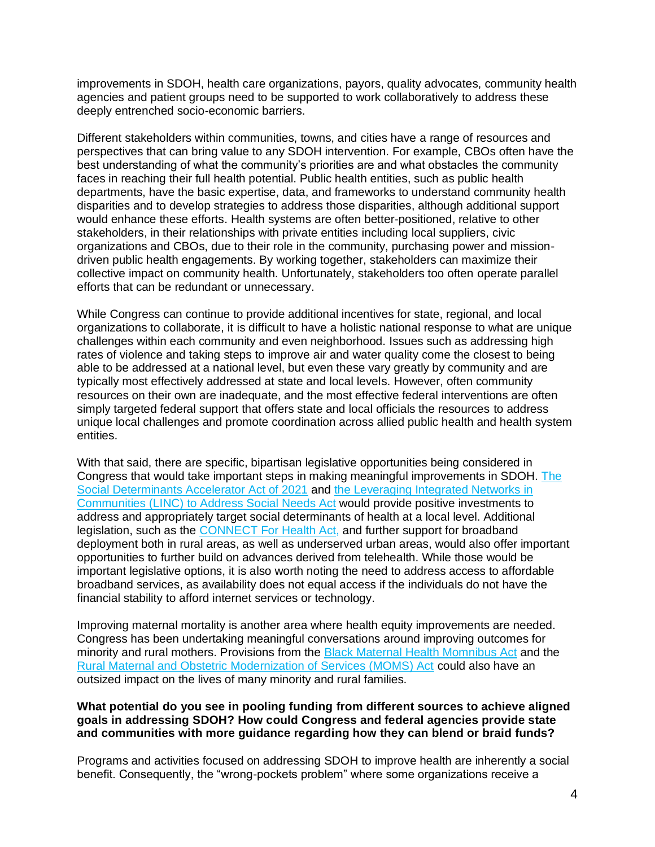improvements in SDOH, health care organizations, payors, quality advocates, community health agencies and patient groups need to be supported to work collaboratively to address these deeply entrenched socio-economic barriers.

Different stakeholders within communities, towns, and cities have a range of resources and perspectives that can bring value to any SDOH intervention. For example, CBOs often have the best understanding of what the community's priorities are and what obstacles the community faces in reaching their full health potential. Public health entities, such as public health departments, have the basic expertise, data, and frameworks to understand community health disparities and to develop strategies to address those disparities, although additional support would enhance these efforts. Health systems are often better-positioned, relative to other stakeholders, in their relationships with private entities including local suppliers, civic organizations and CBOs, due to their role in the community, purchasing power and missiondriven public health engagements. By working together, stakeholders can maximize their collective impact on community health. Unfortunately, stakeholders too often operate parallel efforts that can be redundant or unnecessary.

While Congress can continue to provide additional incentives for state, regional, and local organizations to collaborate, it is difficult to have a holistic national response to what are unique challenges within each community and even neighborhood. Issues such as addressing high rates of violence and taking steps to improve air and water quality come the closest to being able to be addressed at a national level, but even these vary greatly by community and are typically most effectively addressed at state and local levels. However, often community resources on their own are inadequate, and the most effective federal interventions are often simply targeted federal support that offers state and local officials the resources to address unique local challenges and promote coordination across allied public health and health system entities.

With that said, there are specific, bipartisan legislative opportunities being considered in Congress that would take important steps in making meaningful improvements in SDOH. [The](https://www.congress.gov/bill/117th-congress/house-bill/2503)  [Social Determinants Accelerator Act of 2021](https://www.congress.gov/bill/117th-congress/house-bill/2503) and [the Leveraging Integrated Networks in](https://www.congress.gov/bill/117th-congress/senate-bill/509)  Communities (LINC) [to Address Social Needs Act](https://www.congress.gov/bill/117th-congress/senate-bill/509) would provide positive investments to address and appropriately target social determinants of health at a local level. Additional legislation, such as the [CONNECT For Health Act,](https://www.congress.gov/bill/117th-congress/senate-bill/1512) and further support for broadband deployment both in rural areas, as well as underserved urban areas, would also offer important opportunities to further build on advances derived from telehealth. While those would be important legislative options, it is also worth noting the need to address access to affordable broadband services, as availability does not equal access if the individuals do not have the financial stability to afford internet services or technology.

Improving maternal mortality is another area where health equity improvements are needed. Congress has been undertaking meaningful conversations around improving outcomes for minority and rural mothers. Provisions from the **Black Maternal Health Momnibus Act and the** [Rural Maternal and Obstetric Modernization of Services \(MOMS\) Act](https://www.congress.gov/bill/117th-congress/house-bill/769/text) could also have an outsized impact on the lives of many minority and rural families.

#### **What potential do you see in pooling funding from different sources to achieve aligned goals in addressing SDOH? How could Congress and federal agencies provide state and communities with more guidance regarding how they can blend or braid funds?**

Programs and activities focused on addressing SDOH to improve health are inherently a social benefit. Consequently, the "wrong-pockets problem" where some organizations receive a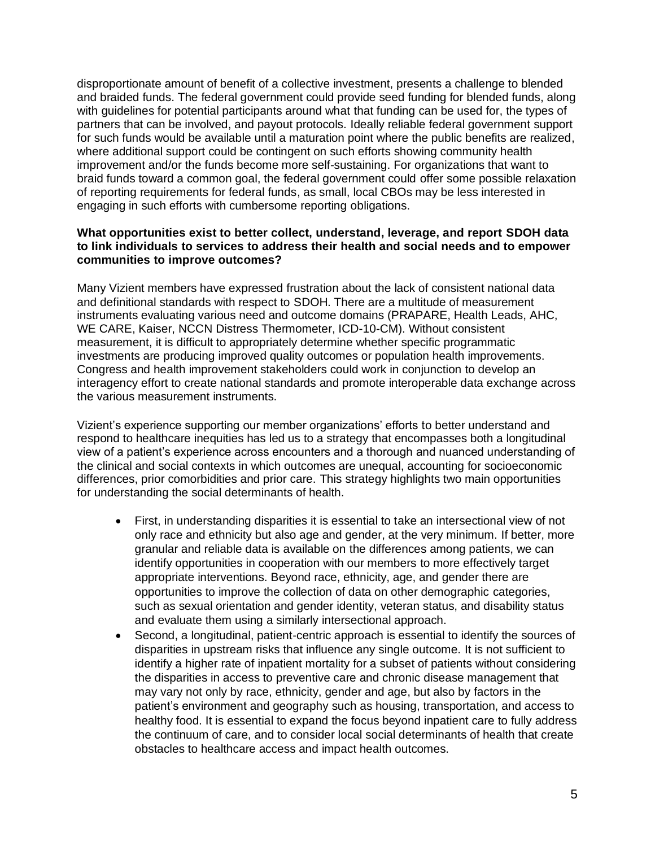disproportionate amount of benefit of a collective investment, presents a challenge to blended and braided funds. The federal government could provide seed funding for blended funds, along with guidelines for potential participants around what that funding can be used for, the types of partners that can be involved, and payout protocols. Ideally reliable federal government support for such funds would be available until a maturation point where the public benefits are realized, where additional support could be contingent on such efforts showing community health improvement and/or the funds become more self-sustaining. For organizations that want to braid funds toward a common goal, the federal government could offer some possible relaxation of reporting requirements for federal funds, as small, local CBOs may be less interested in engaging in such efforts with cumbersome reporting obligations.

#### **What opportunities exist to better collect, understand, leverage, and report SDOH data to link individuals to services to address their health and social needs and to empower communities to improve outcomes?**

Many Vizient members have expressed frustration about the lack of consistent national data and definitional standards with respect to SDOH. There are a multitude of measurement instruments evaluating various need and outcome domains (PRAPARE, Health Leads, AHC, WE CARE, Kaiser, NCCN Distress Thermometer, ICD-10-CM). Without consistent measurement, it is difficult to appropriately determine whether specific programmatic investments are producing improved quality outcomes or population health improvements. Congress and health improvement stakeholders could work in conjunction to develop an interagency effort to create national standards and promote interoperable data exchange across the various measurement instruments.

Vizient's experience supporting our member organizations' efforts to better understand and respond to healthcare inequities has led us to a strategy that encompasses both a longitudinal view of a patient's experience across encounters and a thorough and nuanced understanding of the clinical and social contexts in which outcomes are unequal, accounting for socioeconomic differences, prior comorbidities and prior care. This strategy highlights two main opportunities for understanding the social determinants of health.

- First, in understanding disparities it is essential to take an intersectional view of not only race and ethnicity but also age and gender, at the very minimum. If better, more granular and reliable data is available on the differences among patients, we can identify opportunities in cooperation with our members to more effectively target appropriate interventions. Beyond race, ethnicity, age, and gender there are opportunities to improve the collection of data on other demographic categories, such as sexual orientation and gender identity, veteran status, and disability status and evaluate them using a similarly intersectional approach.
- Second, a longitudinal, patient-centric approach is essential to identify the sources of disparities in upstream risks that influence any single outcome. It is not sufficient to identify a higher rate of inpatient mortality for a subset of patients without considering the disparities in access to preventive care and chronic disease management that may vary not only by race, ethnicity, gender and age, but also by factors in the patient's environment and geography such as housing, transportation, and access to healthy food. It is essential to expand the focus beyond inpatient care to fully address the continuum of care, and to consider local social determinants of health that create obstacles to healthcare access and impact health outcomes.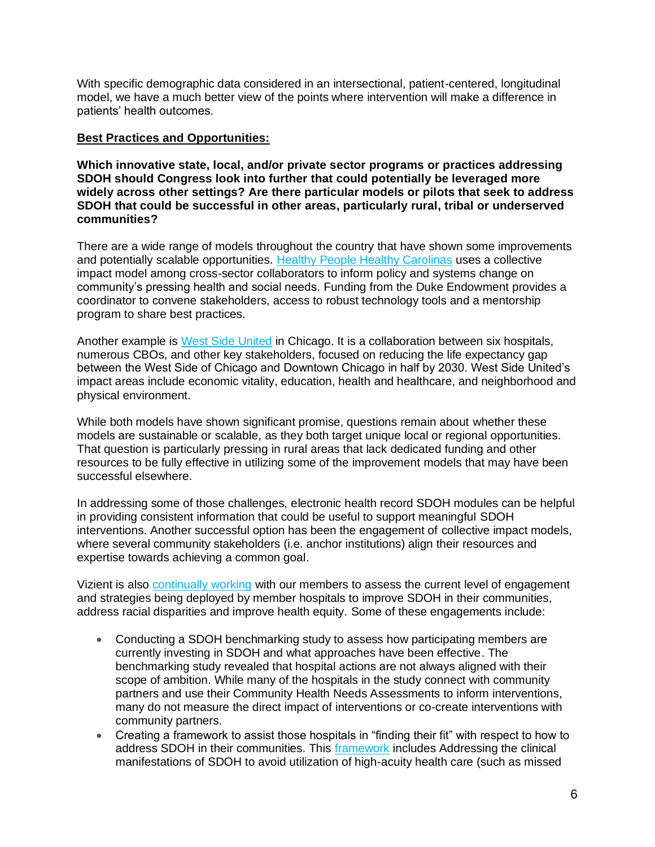With specific demographic data considered in an intersectional, patient-centered, longitudinal model, we have a much better view of the points where intervention will make a difference in patients' health outcomes.

## **Best Practices and Opportunities:**

**Which innovative state, local, and/or private sector programs or practices addressing SDOH should Congress look into further that could potentially be leveraged more widely across other settings? Are there particular models or pilots that seek to address SDOH that could be successful in other areas, particularly rural, tribal or underserved communities?**

There are a wide range of models throughout the country that have shown some improvements and potentially scalable opportunities. [Healthy People Healthy Carolinas](https://www.dukeendowment.org/our-work/improving-community-health-healthy-people-healthy-carolinas) uses a collective impact model among cross-sector collaborators to inform policy and systems change on community's pressing health and social needs. [Funding from the Duke Endowment](https://urldefense.com/v3/__https:/www.dukeendowment.org/our-work/improving-community-health-healthy-people-healthy-carolinas__;!!DeT5dX0PbLRf!IDm-uP7C5sFwmoQHlcM87iU_dVfojj797F3oIQlsZCsv9xAqBnjYCyZPFm8-illt5Lo-Tw$) provides a coordinator to convene stakeholders, access to robust technology tools and a mentorship program to share best practices.

Another example is [West Side United](https://westsideunited.org/about-us/west-side-united-stakeholders-and-partners/) in Chicago. It is a collaboration between six hospitals, numerous CBOs, and other key stakeholders, focused on reducing the life expectancy gap between the West Side of Chicago and Downtown Chicago in half by 2030. West Side United's impact areas include economic vitality, education, health and healthcare, and neighborhood and physical environment.

While both models have shown significant promise, questions remain about whether these models are sustainable or scalable, as they both target unique local or regional opportunities. That question is particularly pressing in rural areas that lack dedicated funding and other resources to be fully effective in utilizing some of the improvement models that may have been successful elsewhere.

In addressing some of those challenges, electronic health record SDOH modules can be helpful in providing consistent information that could be useful to support meaningful SDOH interventions. Another successful option has been the engagement of collective impact models, where several community stakeholders (i.e. anchor institutions) align their resources and expertise towards achieving a common goal.

Vizient is also [continually working](https://www.vizientinc.com/-/media/documents/sitecorepublishingdocuments/public/helpinghealthsystemsaddresssdoh.pdf?la=en&hash=EA36C41031CD2FA0F054F6766222B4C29C9408C7) with our members to assess the current level of engagement and strategies being deployed by member hospitals to improve SDOH in their communities, address racial disparities and improve health equity. Some of these engagements include:

- Conducting a SDOH benchmarking study to assess how participating members are currently investing in SDOH and what approaches have been effective. The benchmarking study revealed that hospital actions are not always aligned with their scope of ambition. While many of the hospitals in the study connect with community partners and use their Community Health Needs Assessments to inform interventions, many do not measure the direct impact of interventions or co-create interventions with community partners.
- Creating a framework to assist those hospitals in "finding their fit" with respect to how to address SDOH in their communities. This [framework](https://newsroom.vizientinc.com/addressing-social-determinants-health-during-covid-19-and-beyond-how-to-find-your-organizations-fit.htm?blog/operations) includes Addressing the clinical manifestations of SDOH to avoid utilization of high-acuity health care (such as missed